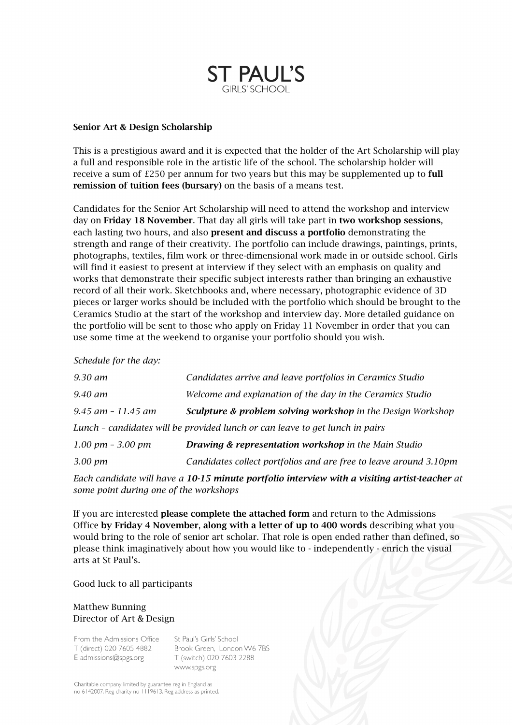

#### Senior Art & Design Scholarship

This is a prestigious award and it is expected that the holder of the Art Scholarship will play a full and responsible role in the artistic life of the school. The scholarship holder will receive a sum of  $E250$  per annum for two years but this may be supplemented up to **full** remission of tuition fees (bursary) on the basis of a means test.

Candidates for the Senior Art Scholarship will need to attend the workshop and interview day on Friday 18 November. That day all girls will take part in two workshop sessions, each lasting two hours, and also present and discuss a portfolio demonstrating the strength and range of their creativity. The portfolio can include drawings, paintings, prints, photographs, textiles, film work or three-dimensional work made in or outside school. Girls will find it easiest to present at interview if they select with an emphasis on quality and works that demonstrate their specific subject interests rather than bringing an exhaustive record of all their work. Sketchbooks and, where necessary, photographic evidence of 3D pieces or larger works should be included with the portfolio which should be brought to the Ceramics Studio at the start of the workshop and interview day. More detailed guidance on the portfolio will be sent to those who apply on Friday 11 November in order that you can use some time at the weekend to organise your portfolio should you wish.

*Schedule for the day:*

| 9.30 am                                                                      | Candidates arrive and leave portfolios in Ceramics Studio              |
|------------------------------------------------------------------------------|------------------------------------------------------------------------|
| 9.40 am                                                                      | Welcome and explanation of the day in the Ceramics Studio              |
| $9.45$ am $-11.45$ am                                                        | <b>Sculpture &amp; problem solving workshop</b> in the Design Workshop |
| Lunch – candidates will be provided lunch or can leave to get lunch in pairs |                                                                        |
| $1.00 \text{ pm}$ – $3.00 \text{ pm}$                                        | <b>Drawing &amp; representation workshop in the Main Studio</b>        |
| 3.00 pm                                                                      | Candidates collect portfolios and are free to leave around 3.10pm      |

*Each candidate will have a 10-15 minute portfolio interview with a visiting artist-teacher at some point during one of the workshops*

If you are interested please complete the attached form and return to the Admissions Office by Friday 4 November, along with a letter of up to 400 words describing what you would bring to the role of senior art scholar. That role is open ended rather than defined, so please think imaginatively about how you would like to - independently - enrich the visual arts at St Paul's.

Good luck to all participants

### Matthew Bunning Director of Art & Design

From the Admissions Office T (direct) 020 7605 4882 E admissions@spgs.org

St Paul's Girls' School Brook Green, London W6 7BS T (switch) 020 7603 2288 www.spgs.org

Charitable company limited by guarantee reg in England as no 6142007. Reg charity no 1119613. Reg address as printed.